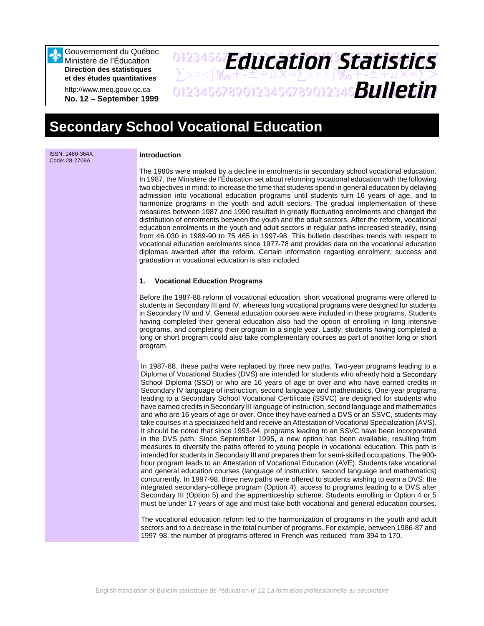Gouvernement du Québec Ministère de l'Éducation **Direction des statistiques et des études quantitatives**

http://www.meq.gouv.qc.ca **No. 12 – September 1999**

# 01234567**F***Anri Stion Statictice*  $\sum z \approx \int \mathcal{X}_0 + \pm \pm \div \mu \times \infty$  $\sum z \approx \pm \int \mathcal{X}_0 + \pm \pm \div \mu \times \infty$  $\sum >$ 01234567890123456789012345678901234567 *Bulletin Education Statistics*

# **Secondary School Vocational Education**

ISSN: 1480-364X Code: 28-2709A

### **Introduction**

The 1980s were marked by a decline in enrolments in secondary school vocational education. In 1987, the Ministère de l'Éducation set about reforming vocational education with the following two objectives in mind: to increase the time that students spend in general education by delaying admission into vocational education programs until students turn 16 years of age, and to harmonize programs in the youth and adult sectors. The gradual implementation of these measures between 1987 and 1990 resulted in greatly fluctuating enrolments and changed the distribution of enrolments between the youth and the adult sectors. After the reform, vocational education enrolments in the youth and adult sectors in regular paths increased steadily, rising from 46 030 in 1989-90 to 75 465 in 1997-98. This bulletin describes trends with respect to vocational education enrolments since 1977-78 and provides data on the vocational education diplomas awarded after the reform. Certain information regarding enrolment, success and graduation in vocational education is also included.

### **1. Vocational Education Programs**

Before the 1987-88 reform of vocational education, short vocational programs were offered to students in Secondary III and IV, whereas long vocational programs were designed for students in Secondary IV and V. General education courses were included in these programs. Students having completed their general education also had the option of enrolling in long intensive programs, and completing their program in a single year. Lastly, students having completed a long or short program could also take complementary courses as part of another long or short program.

In 1987-88, these paths were replaced by three new paths. Two-year programs leading to a Diploma of Vocational Studies (DVS) are intended for students who already hold a Secondary School Diploma (SSD) or who are 16 years of age or over and who have earned credits in Secondary IV language of instruction, second language and mathematics. One-year programs leading to a Secondary School Vocational Certificate (SSVC) are designed for students who have earned credits in Secondary III language of instruction, second language and mathematics and who are 16 years of age or over. Once they have earned a DVS or an SSVC, students may take courses in a specialized field and receive an Attestation of Vocational Specialization (AVS). It should be noted that since 1993-94, programs leading to an SSVC have been incorporated in the DVS path. Since September 1995, a new option has been available, resulting from measures to diversify the paths offered to young people in vocational education. This path is intended for students in Secondary III and prepares them for semi-skilled occupations. The 900 hour program leads to an Attestation of Vocational Education (AVE). Students take vocational and general education courses (language of instruction, second language and mathematics) concurrently. In 1997-98, three new paths were offered to students wishing to earn a DVS: the integrated secondary-college program (Option 4), access to programs leading to a DVS after Secondary III (Option 5) and the apprenticeship scheme. Students enrolling in Option 4 or 5 must be under 17 years of age and must take both vocational and general education courses.

The vocational education reform led to the harmonization of programs in the youth and adult sectors and to a decrease in the total number of programs. For example, between 1986-87 and 1997-98, the number of programs offered in French was reduced from 394 to 170.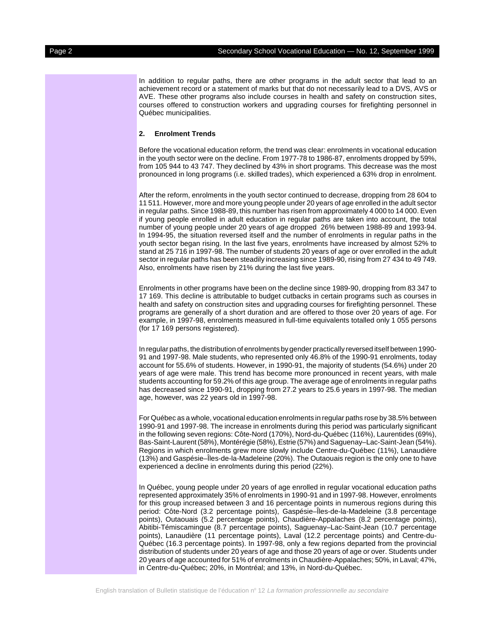In addition to regular paths, there are other programs in the adult sector that lead to an achievement record or a statement of marks but that do not necessarily lead to a DVS, AVS or AVE. These other programs also include courses in health and safety on construction sites, courses offered to construction workers and upgrading courses for firefighting personnel in Québec municipalities.

#### **2. Enrolment Trends**

Before the vocational education reform, the trend was clear: enrolments in vocational education in the youth sector were on the decline. From 1977-78 to 1986-87, enrolments dropped by 59%, from 105 944 to 43 747. They declined by 43% in short programs. This decrease was the most pronounced in long programs (i.e. skilled trades), which experienced a 63% drop in enrolment.

After the reform, enrolments in the youth sector continued to decrease, dropping from 28 604 to 11 511. However, more and more young people under 20 years of age enrolled in the adult sector in regular paths. Since 1988-89, this number has risen from approximately 4 000 to 14 000. Even if young people enrolled in adult education in regular paths are taken into account, the total number of young people under 20 years of age dropped 26% between 1988-89 and 1993-94. In 1994-95, the situation reversed itself and the number of enrolments in regular paths in the youth sector began rising. In the last five years, enrolments have increased by almost 52% to stand at 25 716 in 1997-98. The number of students 20 years of age or over enrolled in the adult sector in regular paths has been steadily increasing since 1989-90, rising from 27 434 to 49 749. Also, enrolments have risen by 21% during the last five years.

Enrolments in other programs have been on the decline since 1989-90, dropping from 83 347 to 17 169. This decline is attributable to budget cutbacks in certain programs such as courses in health and safety on construction sites and upgrading courses for firefighting personnel. These programs are generally of a short duration and are offered to those over 20 years of age. For example, in 1997-98, enrolments measured in full-time equivalents totalled only 1 055 persons (for 17 169 persons registered).

In regular paths, the distribution of enrolments by gender practically reversed itself between 1990- 91 and 1997-98. Male students, who represented only 46.8% of the 1990-91 enrolments, today account for 55.6% of students. However, in 1990-91, the majority of students (54.6%) under 20 years of age were male. This trend has become more pronounced in recent years, with male students accounting for 59.2% of this age group. The average age of enrolments in regular paths has decreased since 1990-91, dropping from 27.2 years to 25.6 years in 1997-98. The median age, however, was 22 years old in 1997-98.

For Québec as a whole, vocational education enrolments in regular paths rose by 38.5% between 1990-91 and 1997-98. The increase in enrolments during this period was particularly significant in the following seven regions: Côte-Nord (170%), Nord-du-Québec (116%), Laurentides (69%), Bas-Saint-Laurent (58%), Montérégie (58%), Estrie (57%) and Saguenay–Lac-Saint-Jean (54%). Regions in which enrolments grew more slowly include Centre-du-Québec (11%), Lanaudière (13%) and Gaspésie–Îles-de-la-Madeleine (20%). The Outaouais region is the only one to have experienced a decline in enrolments during this period (22%).

In Québec, young people under 20 years of age enrolled in regular vocational education paths represented approximately 35% of enrolments in 1990-91 and in 1997-98. However, enrolments for this group increased between 3 and 16 percentage points in numerous regions during this period: Côte-Nord (3.2 percentage points), Gaspésie–Îles-de-la-Madeleine (3.8 percentage points), Outaouais (5.2 percentage points), Chaudière-Appalaches (8.2 percentage points), Abitibi-Témiscamingue (8.7 percentage points), Saguenay–Lac-Saint-Jean (10.7 percentage points), Lanaudière (11 percentage points), Laval (12.2 percentage points) and Centre-du-Québec (16.3 percentage points). In 1997-98, only a few regions departed from the provincial distribution of students under 20 years of age and those 20 years of age or over. Students under 20 years of age accounted for 51% of enrolments in Chaudière-Appalaches; 50%, in Laval; 47%, in Centre-du-Québec; 20%, in Montréal; and 13%, in Nord-du-Québec.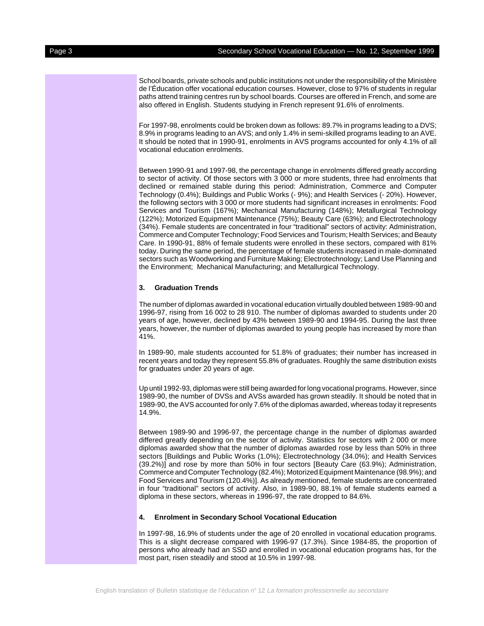School boards, private schools and public institutions not under the responsibility of the Ministère de l'Éducation offer vocational education courses. However, close to 97% of students in regular paths attend training centres run by school boards. Courses are offered in French, and some are also offered in English. Students studying in French represent 91.6% of enrolments.

For 1997-98, enrolments could be broken down as follows: 89.7% in programs leading to a DVS; 8.9% in programs leading to an AVS; and only 1.4% in semi-skilled programs leading to an AVE. It should be noted that in 1990-91, enrolments in AVS programs accounted for only 4.1% of all vocational education enrolments.

Between 1990-91 and 1997-98, the percentage change in enrolments differed greatly according to sector of activity. Of those sectors with 3 000 or more students, three had enrolments that declined or remained stable during this period: Administration, Commerce and Computer Technology (0.4%); Buildings and Public Works (- 9%); and Health Services (- 20%). However, the following sectors with 3 000 or more students had significant increases in enrolments: Food Services and Tourism (167%); Mechanical Manufacturing (148%); Metallurgical Technology (122%); Motorized Equipment Maintenance (75%); Beauty Care (63%); and Electrotechnology (34%). Female students are concentrated in four "traditional" sectors of activity: Administration, Commerce and Computer Technology; Food Services and Tourism; Health Services; and Beauty Care. In 1990-91, 88% of female students were enrolled in these sectors, compared with 81% today. During the same period, the percentage of female students increased in male-dominated sectors such as Woodworking and Furniture Making; Electrotechnology; Land Use Planning and the Environment; Mechanical Manufacturing; and Metallurgical Technology.

#### **3. Graduation Trends**

The number of diplomas awarded in vocational education virtually doubled between 1989-90 and 1996-97, rising from 16 002 to 28 910. The number of diplomas awarded to students under 20 years of age, however, declined by 43% between 1989-90 and 1994-95. During the last three years, however, the number of diplomas awarded to young people has increased by more than 41%.

In 1989-90, male students accounted for 51.8% of graduates; their number has increased in recent years and today they represent 55.8% of graduates. Roughly the same distribution exists for graduates under 20 years of age.

Up until 1992-93, diplomas were still being awarded for long vocational programs. However, since 1989-90, the number of DVSs and AVSs awarded has grown steadily. It should be noted that in 1989-90, the AVS accounted for only 7.6% of the diplomas awarded, whereas today it represents 14.9%.

Between 1989-90 and 1996-97, the percentage change in the number of diplomas awarded differed greatly depending on the sector of activity. Statistics for sectors with 2 000 or more diplomas awarded show that the number of diplomas awarded rose by less than 50% in three sectors [Buildings and Public Works (1.0%); Electrotechnology (34.0%); and Health Services (39.2%)] and rose by more than 50% in four sectors [Beauty Care (63.9%); Administration, Commerce and Computer Technology (82.4%); Motorized Equipment Maintenance (98.9%); and Food Services and Tourism (120.4%)]. As already mentioned, female students are concentrated in four "traditional" sectors of activity. Also, in 1989-90, 88.1% of female students earned a diploma in these sectors, whereas in 1996-97, the rate dropped to 84.6%.

#### **4. Enrolment in Secondary School Vocational Education**

In 1997-98, 16.9% of students under the age of 20 enrolled in vocational education programs. This is a slight decrease compared with 1996-97 (17.3%). Since 1984-85, the proportion of persons who already had an SSD and enrolled in vocational education programs has, for the most part, risen steadily and stood at 10.5% in 1997-98.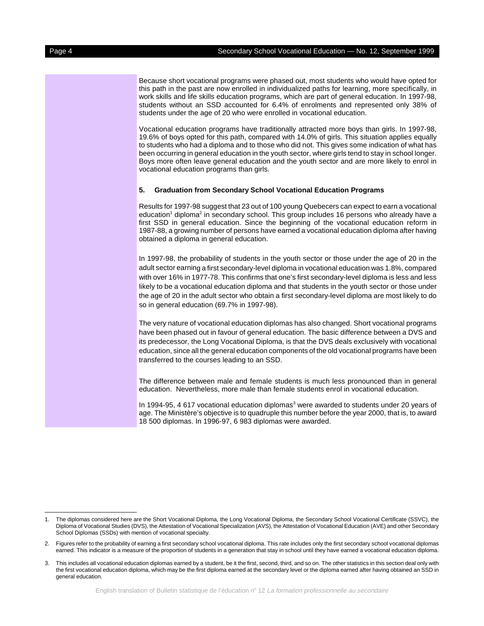Because short vocational programs were phased out, most students who would have opted for this path in the past are now enrolled in individualized paths for learning, more specifically, in work skills and life skills education programs, which are part of general education. In 1997-98, students without an SSD accounted for 6.4% of enrolments and represented only 38% of students under the age of 20 who were enrolled in vocational education.

Vocational education programs have traditionally attracted more boys than girls. In 1997-98, 19.6% of boys opted for this path, compared with 14.0% of girls. This situation applies equally to students who had a diploma and to those who did not. This gives some indication of what has been occurring in general education in the youth sector, where girls tend to stay in school longer. Boys more often leave general education and the youth sector and are more likely to enrol in vocational education programs than girls.

#### **5. Graduation from Secondary School Vocational Education Programs**

Results for 1997-98 suggest that 23 out of 100 young Quebecers can expect to earn a vocational education<sup>1</sup> diploma<sup>2</sup> in secondary school. This group includes 16 persons who already have a first SSD in general education. Since the beginning of the vocational education reform in 1987-88, a growing number of persons have earned a vocational education diploma after having obtained a diploma in general education.

In 1997-98, the probability of students in the youth sector or those under the age of 20 in the adult sector earning a first secondary-level diploma in vocational education was 1.8%, compared with over 16% in 1977-78. This confirms that one's first secondary-level diploma is less and less likely to be a vocational education diploma and that students in the youth sector or those under the age of 20 in the adult sector who obtain a first secondary-level diploma are most likely to do so in general education (69.7% in 1997-98).

The very nature of vocational education diplomas has also changed. Short vocational programs have been phased out in favour of general education. The basic difference between a DVS and its predecessor, the Long Vocational Diploma, is that the DVS deals exclusively with vocational education, since all the general education components of the old vocational programs have been transferred to the courses leading to an SSD.

The difference between male and female students is much less pronounced than in general education. Nevertheless, more male than female students enrol in vocational education.

In 1994-95, 4 617 vocational education diplomas<sup>3</sup> were awarded to students under 20 years of age. The Ministère's objective is to quadruple this number before the year 2000, that is, to award 18 500 diplomas. In 1996-97, 6 983 diplomas were awarded.

<sup>1.</sup> The diplomas considered here are the Short Vocational Diploma, the Long Vocational Diploma, the Secondary School Vocational Certificate (SSVC), the Diploma of Vocational Studies (DVS), the Attestation of Vocational Specialization (AVS), the Attestation of Vocational Education (AVE) and other Secondary School Diplomas (SSDs) with mention of vocational specialty.

<sup>2.</sup> Figures refer to the probability of earning a first secondary school vocational diploma. This rate includes only the first secondary school vocational diplomas earned. This indicator is a measure of the proportion of students in a generation that stay in school until they have earned a vocational education diploma.

<sup>3.</sup> This includes all vocational education diplomas earned by a student, be it the first, second, third, and so on. The other statistics in this section deal only with the first vocational education diploma, which may be the first diploma earned at the secondary level or the diploma earned after having obtained an SSD in general education.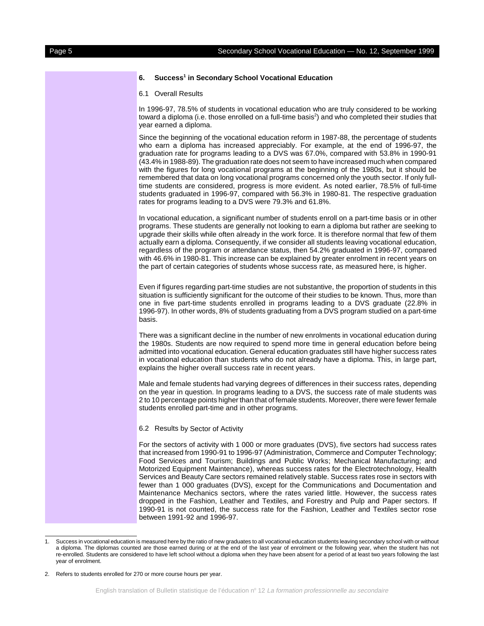#### 6. Success<sup>1</sup> in Secondary School Vocational Education

6.1 Overall Results

In 1996-97, 78.5% of students in vocational education who are truly considered to be working toward a diploma (i.e. those enrolled on a full-time basis<sup>2</sup>) and who completed their studies that year earned a diploma.

Since the beginning of the vocational education reform in 1987-88, the percentage of students who earn a diploma has increased appreciably. For example, at the end of 1996-97, the graduation rate for programs leading to a DVS was 67.0%, compared with 53.8% in 1990-91 (43.4% in 1988-89). The graduation rate does not seem to have increased much when compared with the figures for long vocational programs at the beginning of the 1980s, but it should be remembered that data on long vocational programs concerned only the youth sector. If only fulltime students are considered, progress is more evident. As noted earlier, 78.5% of full-time students graduated in 1996-97, compared with 56.3% in 1980-81. The respective graduation rates for programs leading to a DVS were 79.3% and 61.8%.

In vocational education, a significant number of students enroll on a part-time basis or in other programs. These students are generally not looking to earn a diploma but rather are seeking to upgrade their skills while often already in the work force. It is therefore normal that few of them actually earn a diploma. Consequently, if we consider all students leaving vocational education, regardless of the program or attendance status, then 54.2% graduated in 1996-97, compared with 46.6% in 1980-81. This increase can be explained by greater enrolment in recent years on the part of certain categories of students whose success rate, as measured here, is higher.

Even if figures regarding part-time studies are not substantive, the proportion of students in this situation is sufficiently significant for the outcome of their studies to be known. Thus, more than one in five part-time students enrolled in programs leading to a DVS graduate (22.8% in 1996-97). In other words, 8% of students graduating from a DVS program studied on a part-time basis.

There was a significant decline in the number of new enrolments in vocational education during the 1980s. Students are now required to spend more time in general education before being admitted into vocational education. General education graduates still have higher success rates in vocational education than students who do not already have a diploma. This, in large part, explains the higher overall success rate in recent years.

Male and female students had varying degrees of differences in their success rates, depending on the year in question. In programs leading to a DVS, the success rate of male students was 2 to 10 percentage points higher than that of female students. Moreover, there were fewer female students enrolled part-time and in other programs.

#### 6.2 Results by Sector of Activity

For the sectors of activity with 1 000 or more graduates (DVS), five sectors had success rates that increased from 1990-91 to 1996-97 (Administration, Commerce and Computer Technology; Food Services and Tourism; Buildings and Public Works; Mechanical Manufacturing; and Motorized Equipment Maintenance), whereas success rates for the Electrotechnology, Health Services and Beauty Care sectors remained relatively stable. Success rates rose in sectors with fewer than 1 000 graduates (DVS), except for the Communications and Documentation and Maintenance Mechanics sectors, where the rates varied little. However, the success rates dropped in the Fashion, Leather and Textiles, and Forestry and Pulp and Paper sectors. If 1990-91 is not counted, the success rate for the Fashion, Leather and Textiles sector rose between 1991-92 and 1996-97.

Success in vocational education is measured here by the ratio of new graduates to all vocational education students leaving secondary school with or without a diploma. The diplomas counted are those earned during or at the end of the last year of enrolment or the following year, when the student has not re-enrolled. Students are considered to have left school without a diploma when they have been absent for a period of at least two years following the last year of enrolment.

<sup>2.</sup> Refers to students enrolled for 270 or more course hours per year.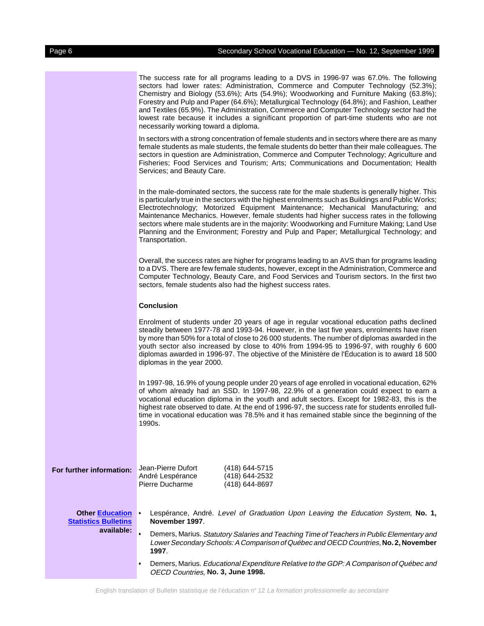The success rate for all programs leading to a DVS in 1996-97 was 67.0%. The following sectors had lower rates: Administration, Commerce and Computer Technology (52.3%); Chemistry and Biology (53.6%); Arts (54.9%); Woodworking and Furniture Making (63.8%); Forestry and Pulp and Paper (64.6%); Metallurgical Technology (64.8%); and Fashion, Leather and Textiles (65.9%). The Administration, Commerce and Computer Technology sector had the lowest rate because it includes a significant proportion of part-time students who are not necessarily working toward a diploma.

In sectors with a strong concentration of female students and in sectors where there are as many female students as male students, the female students do better than their male colleagues. The sectors in question are Administration, Commerce and Computer Technology; Agriculture and Fisheries; Food Services and Tourism; Arts; Communications and Documentation; Health Services; and Beauty Care.

In the male-dominated sectors, the success rate for the male students is generally higher. This is particularly true in the sectors with the highest enrolments such as Buildings and Public Works; Electrotechnology; Motorized Equipment Maintenance; Mechanical Manufacturing; and Maintenance Mechanics. However, female students had higher success rates in the following sectors where male students are in the majority: Woodworking and Furniture Making; Land Use Planning and the Environment; Forestry and Pulp and Paper; Metallurgical Technology; and Transportation.

Overall, the success rates are higher for programs leading to an AVS than for programs leading to a DVS. There are few female students, however, except in the Administration, Commerce and Computer Technology, Beauty Care, and Food Services and Tourism sectors. In the first two sectors, female students also had the highest success rates.

### **Conclusion**

Enrolment of students under 20 years of age in regular vocational education paths declined steadily between 1977-78 and 1993-94. However, in the last five years, enrolments have risen by more than 50% for a total of close to 26 000 students. The number of diplomas awarded in the youth sector also increased by close to 40% from 1994-95 to 1996-97, with roughly 6 600 diplomas awarded in 1996-97. The objective of the Ministère de l'Éducation is to award 18 500 diplomas in the year 2000.

In 1997-98, 16.9% of young people under 20 years of age enrolled in vocational education, 62% of whom already had an SSD. In 1997-98, 22.9% of a generation could expect to earn a vocational education diploma in the youth and adult sectors. Except for 1982-83, this is the highest rate observed to date. At the end of 1996-97, the success rate for students enrolled fulltime in vocational education was 78.5% and it has remained stable since the beginning of the 1990s.

**For further information:** Jean-Pierre Dufort (418) 644-5715<br>André Lespérance (418) 644-2532 André Lespérance Pierre Ducharme (418) 644-8697

**Other Education** &**[Statistics Bulletins](http://www.meq.gouv.qc.ca)** Lespérance, André. Level of Graduation Upon Leaving the Education System, **No. 1, November 1997**.

**available:** Demers, Marius. Statutory Salaries and Teaching Time of Teachers in Public Elementary and Lower Secondary Schools: A Comparison of Québec and OECD Countries, **No. 2, November 1997**.

> Demers, Marius. Educational Expenditure Relative to the GDP: A Comparison of Québec and OECD Countries, **No. 3, June 1998.**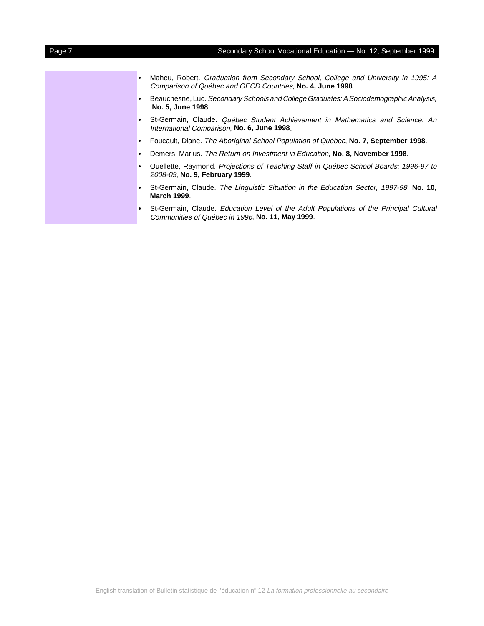- & Maheu, Robert. Graduation from Secondary School, College and University in 1995: A Comparison of Québec and OECD Countries, **No. 4, June 1998**.
- $\bullet$  Beauchesne, Luc. Secondary Schools and College Graduates: A Sociodemographic Analysis, **No. 5, June 1998**.
- & St-Germain, Claude. Québec Student Achievement in Mathematics and Science: An International Comparison, **No. 6, June 1998**.
- $\bullet$ Foucault, Diane. The Aboriginal School Population of Québec, **No. 7, September 1998**.
- $\bullet$ Demers, Marius. The Return on Investment in Education, **No. 8, November 1998**.
- Ouellette, Raymond. Projections of Teaching Staff in Québec School Boards: 1996-97 to 2008-09, **No. 9, February 1999**.
- $\bullet$  St-Germain, Claude. The Linguistic Situation in the Education Sector, 1997-98, **No. 10, March 1999**.
- St-Germain, Claude. Education Level of the Adult Populations of the Principal Cultural Communities of Québec in 1996, **No. 11, May 1999**.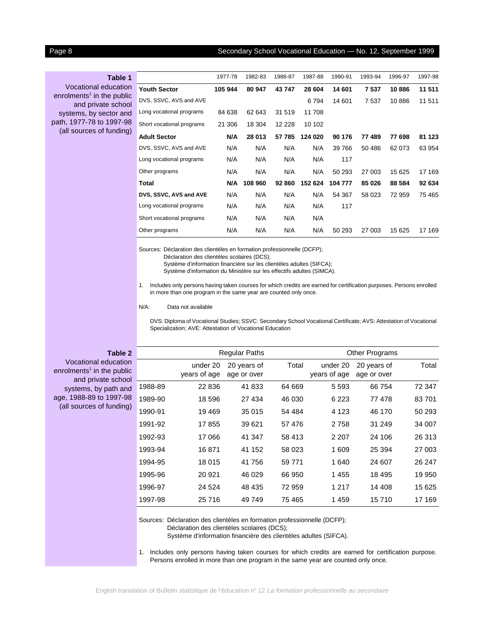### Page 8 Secondary School Vocational Education — No. 12, September 1999

**Table 1**

Vocational education enrolments $^1$  in the public and private school systems, by sector and path, 1977-78 to 1997-98 (all sources of funding)

|                           | 1977-78 | 1982-83 | 1986-87 | 1987-88 | 1990-91 | 1993-94 | 1996-97 | 1997-98 |
|---------------------------|---------|---------|---------|---------|---------|---------|---------|---------|
| <b>Youth Sector</b>       | 105 944 | 80 947  | 43747   | 28 604  | 14 601  | 7 5 3 7 | 10886   | 11 511  |
| DVS, SSVC, AVS and AVE    |         |         |         | 6794    | 14 601  | 7537    | 10886   | 11511   |
| Long vocational programs  | 84 638  | 62 643  | 31 519  | 11 708  |         |         |         |         |
| Short vocational programs | 21 306  | 18 304  | 12 228  | 10 102  |         |         |         |         |
| <b>Adult Sector</b>       | N/A     | 28 013  | 57 785  | 124 020 | 90 176  | 77 489  | 77 698  | 81 123  |
| DVS, SSVC, AVS and AVE    | N/A     | N/A     | N/A     | N/A     | 39 766  | 50 486  | 62 073  | 63 954  |
| Long vocational programs  | N/A     | N/A     | N/A     | N/A     | 117     |         |         |         |
| Other programs            | N/A     | N/A     | N/A     | N/A     | 50 293  | 27 003  | 15 625  | 17 169  |
| Total                     | N/A     | 108 960 | 92 860  | 152 624 | 104 777 | 85 026  | 88 584  | 92 634  |
| DVS, SSVC, AVS and AVE    | N/A     | N/A     | N/A     | N/A     | 54 367  | 58 023  | 72 959  | 75 4 65 |
| Long vocational programs  | N/A     | N/A     | N/A     | N/A     | 117     |         |         |         |
| Short vocational programs | N/A     | N/A     | N/A     | N/A     |         |         |         |         |
| Other programs            | N/A     | N/A     | N/A     | N/A     | 50 293  | 27 003  | 15 625  | 17 169  |

Sources: Déclaration des clientèles en formation professionnelle (DCFP);

Déclaration des clientèles scolaires (DCS);

Système d'information financière sur les clientèles adultes (SIFCA);

Système d'information du Ministère sur les effectifs adultes (SIMCA).

1. Includes only persons having taken courses for which credits are earned for certification purposes. Persons enrolled in more than one program in the same year are counted only once.

#### N/A: Data not available

DVS: Diploma of Vocational Studies; SSVC: Secondary School Vocational Certificate; AVS: Attestation of Vocational Specialization; AVE: Attestation of Vocational Education

**Table 2**

|         |                          | <b>Regular Paths</b>       |        | Other Programs           |                            |        |
|---------|--------------------------|----------------------------|--------|--------------------------|----------------------------|--------|
|         | under 20<br>years of age | 20 years of<br>age or over | Total  | under 20<br>years of age | 20 years of<br>age or over | Total  |
| 1988-89 | 22 836                   | 41833                      | 64 669 | 5 5 9 3                  | 66 754                     | 72 347 |
| 1989-90 | 18 596                   | 27 434                     | 46 030 | 6 2 2 3                  | 77478                      | 83701  |
| 1990-91 | 19469                    | 35 015                     | 54 484 | 4 1 2 3                  | 46 170                     | 50 293 |
| 1991-92 | 17855                    | 39 621                     | 57476  | 2 7 5 8                  | 31 249                     | 34 007 |
| 1992-93 | 17 066                   | 41 347                     | 58 413 | 2 2 0 7                  | 24 106                     | 26 313 |
| 1993-94 | 16871                    | 41 152                     | 58 023 | 1 609                    | 25 394                     | 27 003 |
| 1994-95 | 18 0 15                  | 41756                      | 59 771 | 1 640                    | 24 607                     | 26 247 |
| 1995-96 | 20 921                   | 46 029                     | 66 950 | 1455                     | 18 495                     | 19 950 |
| 1996-97 | 24 524                   | 48 435                     | 72 959 | 1 217                    | 14 408                     | 15 625 |
| 1997-98 | 25 716                   | 49 749                     | 75 465 | 1459                     | 15 710                     | 17 169 |

Sources: Déclaration des clientèles en formation professionnelle (DCFP);

Déclaration des clientèles scolaires (DCS);

Système d'information financière des clientèles adultes (SIFCA).

1. Includes only persons having taken courses for which credits are earned for certification purpose. Persons enrolled in more than one program in the same year are counted only once.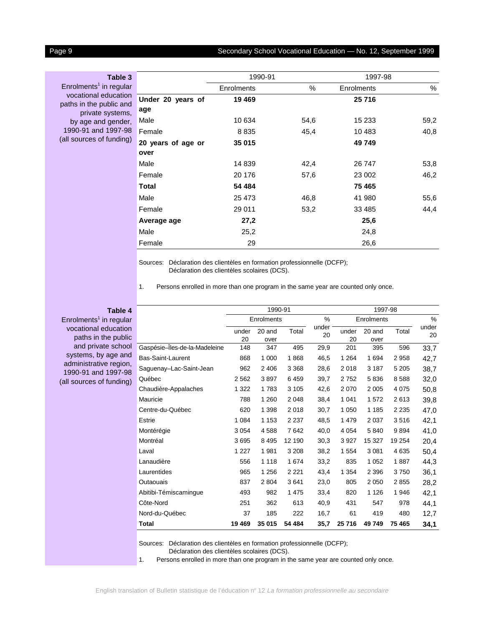## Page 9 Secondary School Vocational Education - No. 12, September 1999

**Table 3** Enrolments<sup>1</sup> in regular vocational education paths in the public and private systems, by age and gender, 1990-91 and 1997-98 (all sources of funding)

|                    | 1990-91           |      | 1997-98    |      |  |  |
|--------------------|-------------------|------|------------|------|--|--|
|                    | <b>Enrolments</b> | %    | Enrolments | %    |  |  |
| Under 20 years of  | 19 469            |      | 25 716     |      |  |  |
| age                |                   |      |            |      |  |  |
| Male               | 10 634            | 54,6 | 15 233     | 59,2 |  |  |
| Female             | 8 8 3 5           | 45,4 | 10 483     | 40,8 |  |  |
| 20 years of age or | 35 015            |      | 49 749     |      |  |  |
| over               |                   |      |            |      |  |  |
| Male               | 14 839            | 42,4 | 26 747     | 53,8 |  |  |
| Female             | 20 176            | 57,6 | 23 002     | 46,2 |  |  |
| <b>Total</b>       | 54 484            |      | 75 465     |      |  |  |
| Male               | 25 4 73           | 46,8 | 41 980     | 55,6 |  |  |
| Female             | 29 011            | 53,2 | 33 4 85    | 44,4 |  |  |
| Average age        | 27,2              |      | 25,6       |      |  |  |
| Male               | 25,2              |      | 24,8       |      |  |  |
| Female             | 29                |      | 26,6       |      |  |  |

Sources: Déclaration des clientèles en formation professionnelle (DCFP); Déclaration des clientèles scolaires (DCS).

1. Persons enrolled in more than one program in the same year are counted only once.

## **Table 4**

Enrolments<sup>1</sup> in regular vocational education paths in the public and private school systems, by age and administrative region, 1990-91 and 1997-98 (all sources of funding)

|                               |             | 1990-91        |         |             | 1997-98     |                |         |             |  |  |
|-------------------------------|-------------|----------------|---------|-------------|-------------|----------------|---------|-------------|--|--|
|                               |             | Enrolments     |         | %           |             | Enrolments     |         |             |  |  |
|                               | under<br>20 | 20 and<br>over | Total   | under<br>20 | under<br>20 | 20 and<br>over | Total   | under<br>20 |  |  |
| Gaspésie-Îles-de-la-Madeleine | 148         | 347            | 495     | 29,9        | 201         | 395            | 596     | 33,7        |  |  |
| Bas-Saint-Laurent             | 868         | 1 0 0 0        | 1868    | 46,5        | 1 2 6 4     | 1 6 9 4        | 2958    | 42,7        |  |  |
| Saguenay–Lac-Saint-Jean       | 962         | 2 4 0 6        | 3 3 6 8 | 28,6        | 2018        | 3 1 8 7        | 5 2 0 5 | 38,7        |  |  |
| Québec                        | 2 5 6 2     | 3897           | 6459    | 39,7        | 2752        | 5836           | 8588    | 32,0        |  |  |
| Chaudière-Appalaches          | 1 3 2 2     | 1783           | 3 1 0 5 | 42,6        | 2070        | 2 0 0 5        | 4 0 7 5 | 50,8        |  |  |
| Mauricie                      | 788         | 1 2 6 0        | 2 0 4 8 | 38,4        | 1 0 4 1     | 1572           | 2613    | 39,8        |  |  |
| Centre-du-Québec              | 620         | 1 3 9 8        | 2018    | 30,7        | 1 0 5 0     | 1 1 8 5        | 2 2 3 5 | 47,0        |  |  |
| Estrie                        | 1 0 8 4     | 1 1 5 3        | 2 2 3 7 | 48,5        | 1 4 7 9     | 2 0 3 7        | 3516    | 42,1        |  |  |
| Montérégie                    | 3 0 5 4     | 4588           | 7642    | 40,0        | 4 0 5 4     | 5840           | 9894    | 41,0        |  |  |
| Montréal                      | 3695        | 8 4 9 5        | 12 190  | 30,3        | 3927        | 15 327         | 19 254  | 20,4        |  |  |
| Laval                         | 1 2 2 7     | 1981           | 3 2 0 8 | 38,2        | 1 5 5 4     | 3 0 8 1        | 4635    | 50,4        |  |  |
| Lanaudière                    | 556         | 1 1 1 8        | 1674    | 33,2        | 835         | 1 0 5 2        | 1887    | 44,3        |  |  |
| Laurentides                   | 965         | 1 2 5 6        | 2 2 2 1 | 43,4        | 1 3 5 4     | 2 3 9 6        | 3750    | 36,1        |  |  |
| Outaouais                     | 837         | 2804           | 3641    | 23,0        | 805         | 2 0 5 0        | 2855    | 28,2        |  |  |
| Abitibi-Témiscamingue         | 493         | 982            | 1 4 7 5 | 33,4        | 820         | 1 1 2 6        | 1946    | 42,1        |  |  |
| Côte-Nord                     | 251         | 362            | 613     | 40,9        | 431         | 547            | 978     | 44,1        |  |  |
| Nord-du-Québec                | 37          | 185            | 222     | 16,7        | 61          | 419            | 480     | 12,7        |  |  |
| Total                         | 19 469      | 35 015         | 54 484  | 35,7        | 25 716      | 49 749         | 75 465  | 34,1        |  |  |

Sources: Déclaration des clientèles en formation professionnelle (DCFP);

Déclaration des clientèles scolaires (DCS).

1. Persons enrolled in more than one program in the same year are counted only once.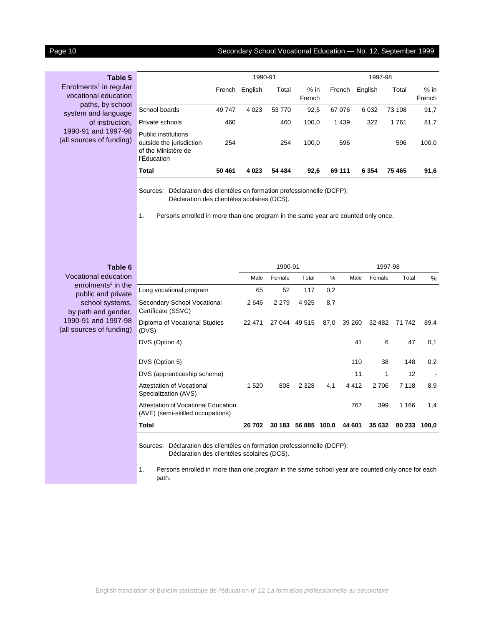## Page 10 Secondary School Vocational Education — No. 12, September 1999

| Table 5                            |
|------------------------------------|
| Enrolments <sup>1</sup> in regular |
| vocational education               |
| paths, by school                   |
| system and language                |
| of instruction,                    |
| 1990-91 and 1997-98                |
| (all sources of funding)           |

|                                                                                       |        | 1990-91 |        |                  | 1997-98 |         |        |                  |  |  |
|---------------------------------------------------------------------------------------|--------|---------|--------|------------------|---------|---------|--------|------------------|--|--|
|                                                                                       | French | English | Total  | $%$ in<br>French | French  | English | Total  | $%$ in<br>French |  |  |
| School boards                                                                         | 49 747 | 4 0 2 3 | 53 770 | 92,5             | 67 076  | 6 0 3 2 | 73 108 | 91,7             |  |  |
| Private schools                                                                       | 460    |         | 460    | 100,0            | 1 4 3 9 | 322     | 1761   | 81,7             |  |  |
| Public institutions<br>outside the jurisdiction<br>of the Ministère de<br>l'Éducation | 254    |         | 254    | 100,0            | 596     |         | 596    | 100,0            |  |  |
| Total                                                                                 | 50 461 | 4 0 2 3 | 54 484 | 92,6             | 69 111  | 6 3 5 4 | 75 465 | 91,6             |  |  |

Sources: Déclaration des clientèles en formation professionnelle (DCFP); Déclaration des clientèles scolaires (DCS).

1. Persons enrolled in more than one program in the same year are counted only once.

| Table 6                                              |                                                                                                                            |         | 1990-91 |              |      | 1997-98 |        |         |                |  |
|------------------------------------------------------|----------------------------------------------------------------------------------------------------------------------------|---------|---------|--------------|------|---------|--------|---------|----------------|--|
| Vocational education                                 |                                                                                                                            | Male    | Female  | Total        | $\%$ | Male    | Female | Total   | $\%$           |  |
| enrolments <sup>1</sup> in the<br>public and private | Long vocational program                                                                                                    | 65      | 52      | 117          | 0,2  |         |        |         |                |  |
| school systems,<br>by path and gender,               | Secondary School Vocational<br>Certificate (SSVC)                                                                          | 2646    | 2 2 7 9 | 4 9 2 5      | 8,7  |         |        |         |                |  |
| 1990-91 and 1997-98<br>(all sources of funding)      | Diploma of Vocational Studies<br>(DVS)                                                                                     | 22 471  | 27 044  | 49 515       | 87,0 | 39 260  | 32 482 | 71 742  | 89,4           |  |
|                                                      | DVS (Option 4)                                                                                                             |         |         |              |      | 41      | 6      | 47      | 0,1            |  |
|                                                      | DVS (Option 5)                                                                                                             |         |         |              |      | 110     | 38     | 148     | 0,2            |  |
|                                                      | DVS (apprenticeship scheme)                                                                                                |         |         |              |      | 11      | 1      | 12      | $\blacksquare$ |  |
|                                                      | Attestation of Vocational<br>Specialization (AVS)                                                                          | 1 5 2 0 | 808     | 2 3 2 8      | 4,1  | 4 4 1 2 | 2706   | 7 1 1 8 | 8,9            |  |
|                                                      | Attestation of Vocational Education<br>(AVE) (semi-skilled occupations)                                                    |         |         |              |      | 767     | 399    | 1 1 6 6 | 1,4            |  |
|                                                      | Total                                                                                                                      | 26 702  | 30 183  | 56 885 100,0 |      | 44 601  | 35 632 | 80 233  | 100,0          |  |
|                                                      | Déclaration des clientèles en formation professionnelle (DCFP);<br>Sources:<br>Déclaration des clientèles scolaires (DCS). |         |         |              |      |         |        |         |                |  |

1. Persons enrolled in more than one program in the same school year are counted only once for each path.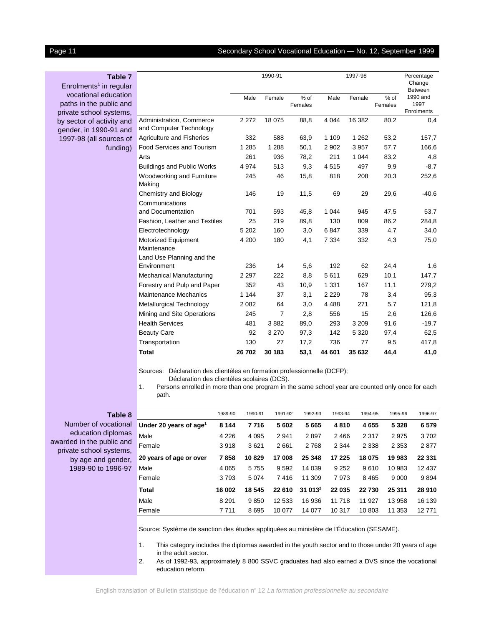## Page 11 Secondary School Vocational Education — No. 12, September 1999

| <b>Table 7</b><br>$Enrolments1$ in regular                                 | 1990-91<br>1997-98                                  |         |         |                 |         |         |                   | Percentage<br>Change<br><b>Between</b> |  |
|----------------------------------------------------------------------------|-----------------------------------------------------|---------|---------|-----------------|---------|---------|-------------------|----------------------------------------|--|
| vocational education<br>paths in the public and<br>private school systems, |                                                     | Male    | Female  | % of<br>Females | Male    | Female  | $%$ of<br>Females | 1990 and<br>1997<br>Enrolments         |  |
| by sector of activity and<br>gender, in 1990-91 and                        | Administration, Commerce<br>and Computer Technology | 2 2 7 2 | 18 075  | 88,8            | 4 0 4 4 | 16 382  | 80,2              | 0,4                                    |  |
| 1997-98 (all sources of                                                    | <b>Agriculture and Fisheries</b>                    | 332     | 588     | 63,9            | 1 1 0 9 | 1 2 6 2 | 53,2              | 157,7                                  |  |
| funding)                                                                   | Food Services and Tourism                           | 1 2 8 5 | 1 2 8 8 | 50,1            | 2 9 0 2 | 3 9 5 7 | 57,7              | 166,6                                  |  |
|                                                                            | Arts                                                | 261     | 936     | 78,2            | 211     | 1 0 4 4 | 83,2              | 4,8                                    |  |
|                                                                            | <b>Buildings and Public Works</b>                   | 4974    | 513     | 9,3             | 4515    | 497     | 9,9               | $-8,7$                                 |  |
|                                                                            | Woodworking and Furniture<br>Making                 | 245     | 46      | 15,8            | 818     | 208     | 20,3              | 252,6                                  |  |
|                                                                            | Chemistry and Biology                               | 146     | 19      | 11,5            | 69      | 29      | 29,6              | $-40,6$                                |  |
|                                                                            | Communications                                      |         |         |                 |         |         |                   |                                        |  |
|                                                                            | and Documentation                                   | 701     | 593     | 45,8            | 1 0 4 4 | 945     | 47,5              | 53,7                                   |  |
|                                                                            | Fashion, Leather and Textiles                       | 25      | 219     | 89,8            | 130     | 809     | 86,2              | 284,8                                  |  |
|                                                                            | Electrotechnology                                   | 5 2 0 2 | 160     | 3,0             | 6847    | 339     | 4,7               | 34,0                                   |  |
|                                                                            | <b>Motorized Equipment</b><br>Maintenance           | 4 200   | 180     | 4,1             | 7 3 3 4 | 332     | 4,3               | 75,0                                   |  |
|                                                                            | Land Use Planning and the                           |         |         |                 |         |         |                   |                                        |  |
|                                                                            | Environment                                         | 236     | 14      | 5,6             | 192     | 62      | 24,4              | 1,6                                    |  |
|                                                                            | Mechanical Manufacturing                            | 2 2 9 7 | 222     | 8,8             | 5611    | 629     | 10,1              | 147,7                                  |  |
|                                                                            | Forestry and Pulp and Paper                         | 352     | 43      | 10,9            | 1 3 3 1 | 167     | 11,1              | 279,2                                  |  |
|                                                                            | <b>Maintenance Mechanics</b>                        | 1 1 4 4 | 37      | 3,1             | 2 2 2 9 | 78      | 3,4               | 95,3                                   |  |
|                                                                            | Metallurgical Technology                            | 2 0 8 2 | 64      | 3,0             | 4 4 8 8 | 271     | 5,7               | 121,8                                  |  |
|                                                                            | Mining and Site Operations                          | 245     | 7       | 2,8             | 556     | 15      | 2,6               | 126,6                                  |  |
|                                                                            | <b>Health Services</b>                              | 481     | 3882    | 89,0            | 293     | 3 2 0 9 | 91,6              | $-19,7$                                |  |
|                                                                            | <b>Beauty Care</b>                                  | 92      | 3 2 7 0 | 97,3            | 142     | 5 3 2 0 | 97,4              | 62,5                                   |  |
|                                                                            | Transportation                                      | 130     | 27      | 17,2            | 736     | 77      | 9,5               | 417,8                                  |  |
|                                                                            | <b>Total</b>                                        | 26702   | 30 183  | 53,1            | 44 601  | 35 632  | 44,4              | 41,0                                   |  |

Sources: Déclaration des clientèles en formation professionnelle (DCFP);

Déclaration des clientèles scolaires (DCS).

1. Persons enrolled in more than one program in the same school year are counted only once for each path.

### **Table 8**

Number of vocational education diplomas awarded in the public and private school systems, by age and gender, 1989-90 to 1996-97

|                                    | 1989-90 | 1990-91 | 1991-92 | 1992-93   | 1993-94 | 1994-95   | 1995-96 | 1996-97  |
|------------------------------------|---------|---------|---------|-----------|---------|-----------|---------|----------|
| Under 20 years of age <sup>1</sup> | 8 1 4 4 | 7716    | 5602    | 5665      | 4810    | 4655      | 5 3 2 8 | 6579     |
| Male                               | 4 2 2 6 | 4 0 9 5 | 2941    | 2897      | 2 4 6 6 | 2 3 1 7   | 2975    | 3702     |
| Female                             | 3918    | 3621    | 2661    | 2768      | 2 3 4 4 | 2 3 3 8   | 2 3 5 3 | 2877     |
| 20 years of age or over            | 7858    | 10829   | 17 008  | 25 348    | 17 225  | 18 075    | 19 983  | 22 331   |
| Male                               | 4 0 6 5 | 5755    | 9592    | 14 0 39   | 9 2 5 2 | 9610      | 10 983  | 12 4 3 7 |
| Female                             | 3793    | 5074    | 7416    | 11 309    | 7973    | 8 4 6 5   | 9 0 0 0 | 9894     |
| <b>Total</b>                       | 16 002  | 18 545  | 22 610  | $31013^2$ | 22 035  | 22730     | 25 311  | 28 910   |
| Male                               | 8 2 9 1 | 9850    | 12 533  | 16 936    | 11 718  | 11<br>927 | 13 958  | 16 139   |
| Female                             | 7711    | 8695    | 10 077  | 14 077    | 10 317  | 10 803    | 11 353  | 12771    |

Source: Système de sanction des études appliquées au ministère de l'Éducation (SESAME).

1. This category includes the diplomas awarded in the youth sector and to those under 20 years of age in the adult sector.

2. As of 1992-93, approximately 8 800 SSVC graduates had also earned a DVS since the vocational education reform.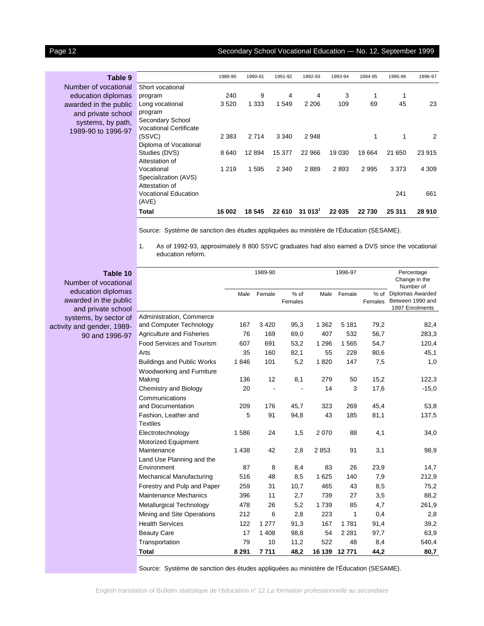## Page 12 Secondary School Vocational Education — No. 12, September 1999

| Table 9               |                               | 1989-90 | 1990-91 | 1991-92 | 1992-93            | 1993-94 | 1994-95 | 1995-96 | 1996-97 |
|-----------------------|-------------------------------|---------|---------|---------|--------------------|---------|---------|---------|---------|
| Number of vocational  | Short vocational              |         |         |         |                    |         |         |         |         |
| education diplomas    | program                       | 240     | 9       | 4       | 4                  | 3       | 1       |         |         |
| awarded in the public | Long vocational               | 3520    | 1 3 3 3 | 1 549   | 2 2 0 6            | 109     | 69      | 45      | 23      |
| and private school    | program                       |         |         |         |                    |         |         |         |         |
| systems, by path,     | Secondary School              |         |         |         |                    |         |         |         |         |
| 1989-90 to 1996-97    | <b>Vocational Certificate</b> |         |         |         |                    |         |         |         |         |
|                       | (SSVC)                        | 2 3 8 3 | 2714    | 3 3 4 0 | 2948               |         | 1       | 1       | 2       |
|                       | Diploma of Vocational         |         |         |         |                    |         |         |         |         |
|                       | Studies (DVS)                 | 8640    | 12 8 94 | 15 377  | 22 966             | 19 030  | 19664   | 21 650  | 23 915  |
|                       | Attestation of                |         |         |         |                    |         |         |         |         |
|                       | Vocational                    | 1 2 1 9 | 1 5 9 5 | 2 3 4 0 | 2889               | 2893    | 2995    | 3 3 7 3 | 4 3 0 9 |
|                       | Specialization (AVS)          |         |         |         |                    |         |         |         |         |
|                       | Attestation of                |         |         |         |                    |         |         |         |         |
|                       | <b>Vocational Education</b>   |         |         |         |                    |         |         | 241     | 661     |
|                       | (AVE)                         |         |         |         |                    |         |         |         |         |
|                       | <b>Total</b>                  | 16 002  | 18 545  | 22 610  | 31013 <sup>1</sup> | 22 035  | 22730   | 25 311  | 28 910  |

Source: Système de sanction des études appliquées au ministère de l'Éducation (SESAME).

1. As of 1992-93, approximately 8 800 SSVC graduates had also earned a DVS since the vocational education reform.

## **Table 10**

Number of vocational education diplomas awarded in the public and private school systems, by sector of activity and gender, 1989- 90 and 1996-97

|                                         |         | 1989-90 |                   |         | 1996-97 |                   | Percentage<br>Change in the<br>Number of                       |
|-----------------------------------------|---------|---------|-------------------|---------|---------|-------------------|----------------------------------------------------------------|
|                                         | Male    | Female  | $%$ of<br>Females | Male    | Female  | $%$ of<br>Females | <b>Diplomas Awarded</b><br>Between 1990 and<br>1997 Enrolments |
| Administration, Commerce                |         |         |                   |         |         |                   |                                                                |
| and Computer Technology                 | 167     | 3 4 2 0 | 95,3              | 1 3 6 2 | 5 1 8 1 | 79,2              | 82,4                                                           |
| <b>Agriculture and Fisheries</b>        | 76      | 169     | 69,0              | 407     | 532     | 56,7              | 283,3                                                          |
| <b>Food Services and Tourism</b>        | 607     | 691     | 53,2              | 1 2 9 6 | 1565    | 54,7              | 120,4                                                          |
| Arts                                    | 35      | 160     | 82,1              | 55      | 228     | 80,6              | 45,1                                                           |
| <b>Buildings and Public Works</b>       | 1846    | 101     | 5,2               | 1820    | 147     | 7,5               | 1,0                                                            |
| Woodworking and Furniture               |         |         |                   |         |         |                   |                                                                |
| Making                                  | 136     | 12      | 8,1               | 279     | 50      | 15,2              | 122,3                                                          |
| Chemistry and Biology                   | 20      |         |                   | 14      | 3       | 17,6              | $-15,0$                                                        |
| Communications                          |         |         |                   |         |         |                   |                                                                |
| and Documentation                       | 209     | 176     | 45,7              | 323     | 269     | 45,4              | 53,8                                                           |
| Fashion, Leather and<br><b>Textiles</b> | 5       | 91      | 94,8              | 43      | 185     | 81,1              | 137,5                                                          |
| Electrotechnology                       | 1586    | 24      | 1,5               | 2070    | 88      | 4,1               | 34,0                                                           |
| Motorized Equipment                     |         |         |                   |         |         |                   |                                                                |
| Maintenance                             | 1 4 3 8 | 42      | 2,8               | 2853    | 91      | 3,1               | 98,9                                                           |
| Land Use Planning and the               |         |         |                   |         |         |                   |                                                                |
| Environment                             | 87      | 8       | 8,4               | 83      | 26      | 23,9              | 14,7                                                           |
| Mechanical Manufacturing                | 516     | 48      | 8,5               | 1 6 2 5 | 140     | 7,9               | 212,9                                                          |
| Forestry and Pulp and Paper             | 259     | 31      | 10,7              | 465     | 43      | 8,5               | 75,2                                                           |
| Maintenance Mechanics                   | 396     | 11      | 2,7               | 739     | 27      | 3,5               | 88,2                                                           |
| Metallurgical Technology                | 478     | 26      | 5,2               | 1739    | 85      | 4,7               | 261,9                                                          |
| Mining and Site Operations              | 212     | 6       | 2,8               | 223     | 1       | 0,4               | 2,8                                                            |
| <b>Health Services</b>                  | 122     | 1 277   | 91,3              | 167     | 1781    | 91,4              | 39,2                                                           |
| <b>Beauty Care</b>                      | 17      | 1 4 0 8 | 98,8              | 54      | 2 2 8 1 | 97,7              | 63,9                                                           |
| Transportation                          | 79      | 10      | 11,2              | 522     | 48      | 8,4               | 540,4                                                          |
| <b>Total</b>                            | 8 2 9 1 | 7711    | 48,2              | 16 139  | 12771   | 44,2              | 80,7                                                           |

Source: Système de sanction des études appliquées au ministère de l'Éducation (SESAME).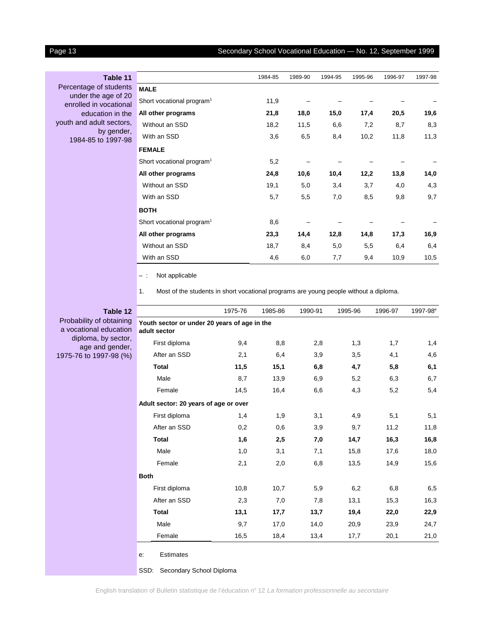## Page 13 Secondary School Vocational Education — No. 12, September 1999

Percentage of students under the age of 20 enrolled in vocational education in the youth and adult sectors, by gender, 1984-85 to 1997-98

|                                       | 1984-85 | 1989-90 | 1994-95 | 1995-96 | 1996-97 | 1997-98 |
|---------------------------------------|---------|---------|---------|---------|---------|---------|
| <b>MALE</b>                           |         |         |         |         |         |         |
| Short vocational program <sup>1</sup> | 11,9    |         |         |         |         |         |
| All other programs                    | 21,8    | 18,0    | 15,0    | 17,4    | 20,5    | 19,6    |
| Without an SSD                        | 18,2    | 11,5    | 6,6     | 7,2     | 8,7     | 8,3     |
| With an SSD                           | 3,6     | 6,5     | 8,4     | 10,2    | 11,8    | 11,3    |
| <b>FEMALE</b>                         |         |         |         |         |         |         |
| Short vocational program <sup>1</sup> | 5,2     |         |         |         |         |         |
| All other programs                    | 24,8    | 10,6    | 10,4    | 12,2    | 13,8    | 14,0    |
| Without an SSD                        | 19,1    | 5,0     | 3,4     | 3,7     | 4,0     | 4,3     |
| With an SSD                           | 5,7     | 5,5     | 7,0     | 8,5     | 9,8     | 9,7     |
| <b>BOTH</b>                           |         |         |         |         |         |         |
| Short vocational program <sup>1</sup> | 8,6     |         |         |         |         |         |
| All other programs                    | 23,3    | 14,4    | 12,8    | 14,8    | 17,3    | 16,9    |
| Without an SSD                        | 18,7    | 8,4     | 5,0     | 5,5     | 6,4     | 6,4     |
| With an SSD                           | 4,6     | 6,0     | 7,7     | 9,4     | 10,9    | 10,5    |

– : Not applicable

1. Most of the students in short vocational programs are young people without a diploma.

## **Table 12**

Probability of obtaining a vocational education diploma, by sector, age and gender, 1975-76 to 1997-98 (%)

|                                                              | 1975-76 | 1985-86 | 1990-91 | 1995-96 | 1996-97 | 1997-98 <sup>e</sup> |
|--------------------------------------------------------------|---------|---------|---------|---------|---------|----------------------|
| Youth sector or under 20 years of age in the<br>adult sector |         |         |         |         |         |                      |
| First diploma                                                | 9,4     | 8,8     | 2,8     | 1,3     | 1,7     | 1,4                  |
| After an SSD                                                 | 2,1     | 6,4     | 3,9     | 3,5     | 4,1     | 4,6                  |
| <b>Total</b>                                                 | 11,5    | 15,1    | 6,8     | 4,7     | 5,8     | 6,1                  |
| Male                                                         | 8,7     | 13,9    | 6,9     | 5,2     | 6,3     | 6,7                  |
| Female                                                       | 14,5    | 16,4    | 6,6     | 4,3     | 5,2     | 5,4                  |
| Adult sector: 20 years of age or over                        |         |         |         |         |         |                      |
| First diploma                                                | 1,4     | 1,9     | 3,1     | 4,9     | 5,1     | 5,1                  |
| After an SSD                                                 | 0,2     | 0,6     | 3,9     | 9,7     | 11,2    | 11,8                 |
| <b>Total</b>                                                 | 1,6     | 2,5     | 7,0     | 14,7    | 16,3    | 16,8                 |
| Male                                                         | 1,0     | 3,1     | 7,1     | 15,8    | 17,6    | 18,0                 |
| Female                                                       | 2,1     | 2,0     | 6,8     | 13,5    | 14,9    | 15,6                 |
| <b>Both</b>                                                  |         |         |         |         |         |                      |
| First diploma                                                | 10,8    | 10,7    | 5,9     | 6,2     | 6,8     | 6,5                  |
| After an SSD                                                 | 2,3     | 7,0     | 7,8     | 13,1    | 15,3    | 16,3                 |
| <b>Total</b>                                                 | 13,1    | 17,7    | 13,7    | 19,4    | 22,0    | 22,9                 |
| Male                                                         | 9,7     | 17,0    | 14,0    | 20,9    | 23,9    | 24,7                 |
| Female                                                       | 16,5    | 18,4    | 13,4    | 17,7    | 20,1    | 21,0                 |

e: Estimates

SSD: Secondary School Diploma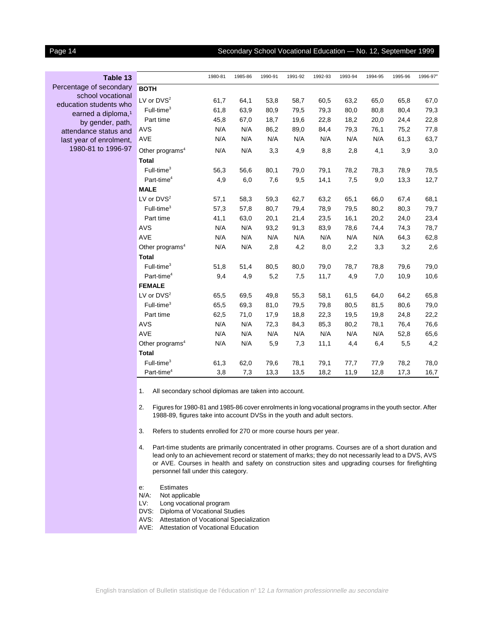## Page 14 Secondary School Vocational Education — No. 12, September 1999

| Table 13                       |
|--------------------------------|
| Percentage of secondary        |
| school vocational              |
| education students who         |
| earned a diploma, <sup>1</sup> |
| by gender, path,               |
| attendance status and          |
| last year of enrolment,        |
| 1980-81 to 1996-97             |
|                                |

|                             | 1980-81 | 1985-86 | 1990-91 | 1991-92 | 1992-93 | 1993-94 | 1994-95 | 1995-96 | 1996-97 <sup>e</sup> |
|-----------------------------|---------|---------|---------|---------|---------|---------|---------|---------|----------------------|
| <b>BOTH</b>                 |         |         |         |         |         |         |         |         |                      |
| LV or $DVS2$                | 61,7    | 64,1    | 53,8    | 58,7    | 60,5    | 63,2    | 65,0    | 65,8    | 67,0                 |
| $Full-time3$                | 61,8    | 63,9    | 80,9    | 79,5    | 79,3    | 80,0    | 80,8    | 80,4    | 79,3                 |
| Part time                   | 45,8    | 67,0    | 18,7    | 19,6    | 22,8    | 18,2    | 20,0    | 24,4    | 22,8                 |
| <b>AVS</b>                  | N/A     | N/A     | 86,2    | 89,0    | 84,4    | 79,3    | 76,1    | 75,2    | 77,8                 |
| <b>AVE</b>                  | N/A     | N/A     | N/A     | N/A     | N/A     | N/A     | N/A     | 61,3    | 63,7                 |
| Other programs <sup>4</sup> | N/A     | N/A     | 3,3     | 4,9     | 8,8     | 2,8     | 4,1     | 3,9     | 3,0                  |
| <b>Total</b>                |         |         |         |         |         |         |         |         |                      |
| $Full-time3$                | 56,3    | 56,6    | 80,1    | 79,0    | 79,1    | 78,2    | 78,3    | 78,9    | 78,5                 |
| Part-time <sup>4</sup>      | 4,9     | 6,0     | 7,6     | 9,5     | 14,1    | 7,5     | 9,0     | 13,3    | 12,7                 |
| <b>MALE</b>                 |         |         |         |         |         |         |         |         |                      |
| LV or $DVS2$                | 57,1    | 58,3    | 59,3    | 62,7    | 63,2    | 65,1    | 66,0    | 67,4    | 68,1                 |
| $Full-time3$                | 57,3    | 57,8    | 80,7    | 79,4    | 78,9    | 79,5    | 80,2    | 80,3    | 79,7                 |
| Part time                   | 41,1    | 63,0    | 20,1    | 21,4    | 23,5    | 16,1    | 20,2    | 24,0    | 23,4                 |
| AVS                         | N/A     | N/A     | 93,2    | 91,3    | 83,9    | 78,6    | 74,4    | 74,3    | 78,7                 |
| AVE                         | N/A     | N/A     | N/A     | N/A     | N/A     | N/A     | N/A     | 64,3    | 62,8                 |
| Other programs <sup>4</sup> | N/A     | N/A     | 2,8     | 4,2     | 8,0     | 2,2     | 3,3     | 3,2     | 2,6                  |
| <b>Total</b>                |         |         |         |         |         |         |         |         |                      |
| $Full-time3$                | 51,8    | 51,4    | 80,5    | 80,0    | 79,0    | 78,7    | 78,8    | 79,6    | 79,0                 |
| Part-time <sup>4</sup>      | 9,4     | 4,9     | 5,2     | 7,5     | 11,7    | 4,9     | 7,0     | 10,9    | 10,6                 |
| <b>FEMALE</b>               |         |         |         |         |         |         |         |         |                      |
| LV or $DVS2$                | 65,5    | 69,5    | 49,8    | 55,3    | 58,1    | 61,5    | 64,0    | 64,2    | 65,8                 |
| $Full-time3$                | 65,5    | 69,3    | 81,0    | 79,5    | 79,8    | 80,5    | 81,5    | 80,6    | 79,0                 |
| Part time                   | 62,5    | 71,0    | 17,9    | 18,8    | 22,3    | 19,5    | 19,8    | 24,8    | 22,2                 |
| <b>AVS</b>                  | N/A     | N/A     | 72,3    | 84,3    | 85,3    | 80,2    | 78,1    | 76,4    | 76,6                 |
| <b>AVE</b>                  | N/A     | N/A     | N/A     | N/A     | N/A     | N/A     | N/A     | 52,8    | 65,6                 |
| Other programs <sup>4</sup> | N/A     | N/A     | 5,9     | 7,3     | 11,1    | 4,4     | 6,4     | 5,5     | 4,2                  |
| <b>Total</b>                |         |         |         |         |         |         |         |         |                      |
| Full-time <sup>3</sup>      | 61,3    | 62,0    | 79,6    | 78,1    | 79,1    | 77,7    | 77,9    | 78,2    | 78,0                 |
| Part-time <sup>4</sup>      | 3,8     | 7,3     | 13,3    | 13,5    | 18,2    | 11,9    | 12,8    | 17,3    | 16,7                 |

1. All secondary school diplomas are taken into account.

2. Figures for 1980-81 and 1985-86 cover enrolments in long vocational programs in the youth sector. After 1988-89, figures take into account DVSs in the youth and adult sectors.

- 3. Refers to students enrolled for 270 or more course hours per year.
- 4. Part-time students are primarily concentrated in other programs. Courses are of a short duration and lead only to an achievement record or statement of marks; they do not necessarily lead to a DVS, AVS or AVE. Courses in health and safety on construction sites and upgrading courses for firefighting personnel fall under this category.
- e: Estimates
- N/A: Not applicable
- LV: Long vocational program
- DVS: Diploma of Vocational Studies
- AVS: Attestation of Vocational Specialization
- AVE: Attestation of Vocational Education